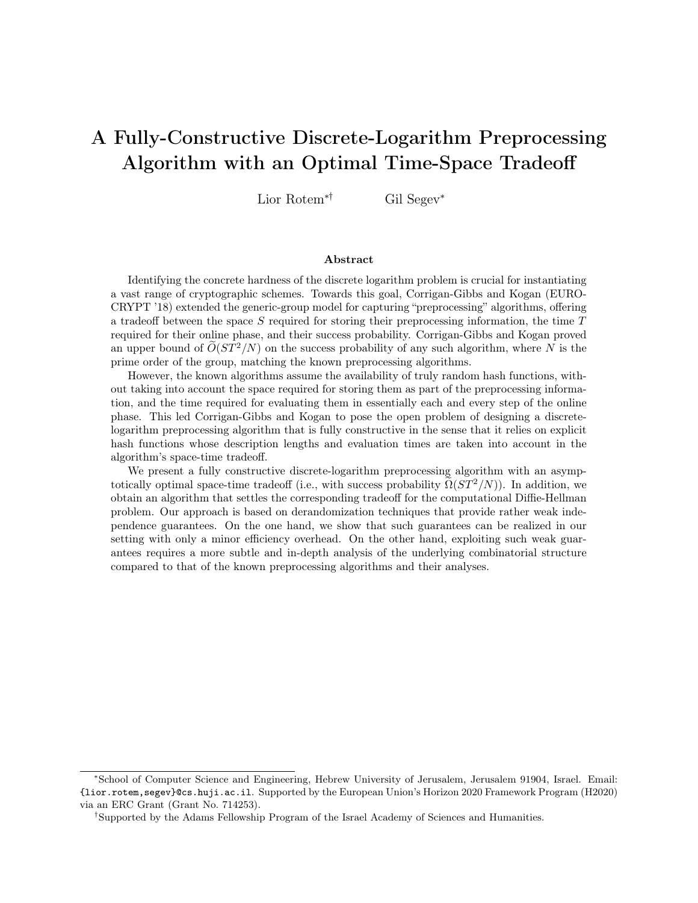# A Fully-Constructive Discrete-Logarithm Preprocessing Algorithm with an Optimal Time-Space Tradeoff

Lior Rotem∗† Gil Segev<sup>∗</sup>

#### Abstract

Identifying the concrete hardness of the discrete logarithm problem is crucial for instantiating a vast range of cryptographic schemes. Towards this goal, Corrigan-Gibbs and Kogan (EURO-CRYPT '18) extended the generic-group model for capturing "preprocessing" algorithms, offering a tradeoff between the space S required for storing their preprocessing information, the time  $T$ required for their online phase, and their success probability. Corrigan-Gibbs and Kogan proved an upper bound of  $\tilde{O}(ST^2/N)$  on the success probability of any such algorithm, where N is the prime order of the group, matching the known preprocessing algorithms.

However, the known algorithms assume the availability of truly random hash functions, without taking into account the space required for storing them as part of the preprocessing information, and the time required for evaluating them in essentially each and every step of the online phase. This led Corrigan-Gibbs and Kogan to pose the open problem of designing a discretelogarithm preprocessing algorithm that is fully constructive in the sense that it relies on explicit hash functions whose description lengths and evaluation times are taken into account in the algorithm's space-time tradeoff.

We present a fully constructive discrete-logarithm preprocessing algorithm with an asymptotically optimal space-time tradeoff (i.e., with success probability  $\Omega(ST^2/N)$ ). In addition, we obtain an algorithm that settles the corresponding tradeoff for the computational Diffie-Hellman problem. Our approach is based on derandomization techniques that provide rather weak independence guarantees. On the one hand, we show that such guarantees can be realized in our setting with only a minor efficiency overhead. On the other hand, exploiting such weak guarantees requires a more subtle and in-depth analysis of the underlying combinatorial structure compared to that of the known preprocessing algorithms and their analyses.

<sup>∗</sup>School of Computer Science and Engineering, Hebrew University of Jerusalem, Jerusalem 91904, Israel. Email: {lior.rotem,segev}@cs.huji.ac.il. Supported by the European Union's Horizon 2020 Framework Program (H2020) via an ERC Grant (Grant No. 714253).

<sup>†</sup>Supported by the Adams Fellowship Program of the Israel Academy of Sciences and Humanities.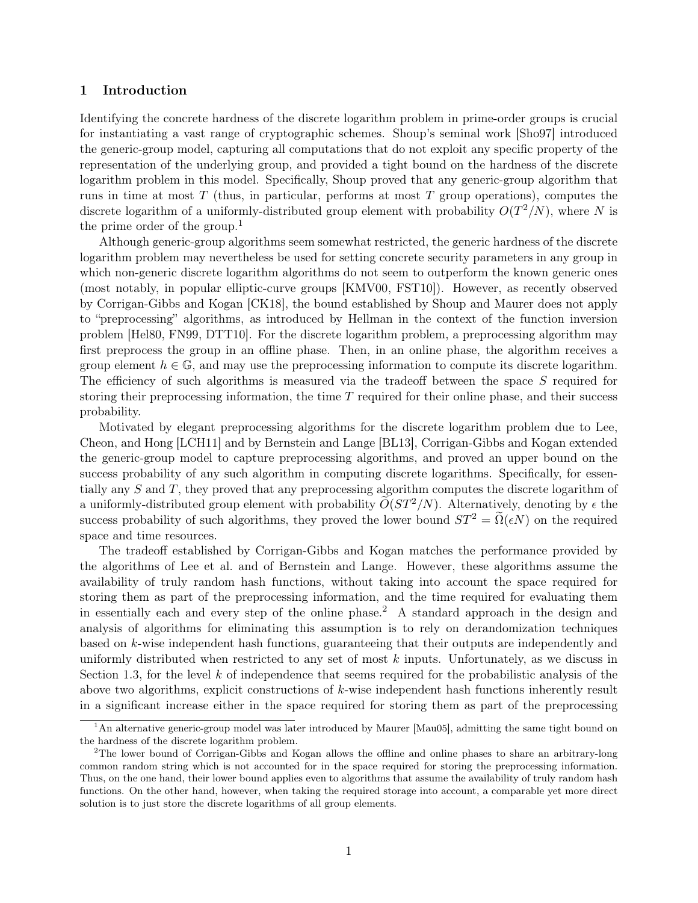# 1 Introduction

Identifying the concrete hardness of the discrete logarithm problem in prime-order groups is crucial for instantiating a vast range of cryptographic schemes. Shoup's seminal work [\[Sho97\]](#page-16-0) introduced the generic-group model, capturing all computations that do not exploit any specific property of the representation of the underlying group, and provided a tight bound on the hardness of the discrete logarithm problem in this model. Specifically, Shoup proved that any generic-group algorithm that runs in time at most  $T$  (thus, in particular, performs at most  $T$  group operations), computes the discrete logarithm of a uniformly-distributed group element with probability  $O(T^2/N)$ , where N is the prime order of the group.<sup>[1](#page-1-0)</sup>

Although generic-group algorithms seem somewhat restricted, the generic hardness of the discrete logarithm problem may nevertheless be used for setting concrete security parameters in any group in which non-generic discrete logarithm algorithms do not seem to outperform the known generic ones (most notably, in popular elliptic-curve groups [\[KMV00,](#page-15-0) [FST10\]](#page-15-1)). However, as recently observed by Corrigan-Gibbs and Kogan [\[CK18\]](#page-15-2), the bound established by Shoup and Maurer does not apply to "preprocessing" algorithms, as introduced by Hellman in the context of the function inversion problem [\[Hel80,](#page-15-3) [FN99,](#page-15-4) [DTT10\]](#page-15-5). For the discrete logarithm problem, a preprocessing algorithm may first preprocess the group in an offline phase. Then, in an online phase, the algorithm receives a group element  $h \in \mathbb{G}$ , and may use the preprocessing information to compute its discrete logarithm. The efficiency of such algorithms is measured via the tradeoff between the space S required for storing their preprocessing information, the time  $T$  required for their online phase, and their success probability.

Motivated by elegant preprocessing algorithms for the discrete logarithm problem due to Lee, Cheon, and Hong [\[LCH11\]](#page-16-1) and by Bernstein and Lange [\[BL13\]](#page-15-6), Corrigan-Gibbs and Kogan extended the generic-group model to capture preprocessing algorithms, and proved an upper bound on the success probability of any such algorithm in computing discrete logarithms. Specifically, for essentially any S and T, they proved that any preprocessing algorithm computes the discrete logarithm of a uniformly-distributed group element with probability  $\tilde{O}(ST^2/N)$ . Alternatively, denoting by  $\epsilon$  the success probability of such algorithms, they proved the lower bound  $ST^2 = \Omega(\epsilon N)$  on the required space and time resources.

The tradeoff established by Corrigan-Gibbs and Kogan matches the performance provided by the algorithms of Lee et al. and of Bernstein and Lange. However, these algorithms assume the availability of truly random hash functions, without taking into account the space required for storing them as part of the preprocessing information, and the time required for evaluating them in essentially each and every step of the online phase.[2](#page-1-1) A standard approach in the design and analysis of algorithms for eliminating this assumption is to rely on derandomization techniques based on k-wise independent hash functions, guaranteeing that their outputs are independently and uniformly distributed when restricted to any set of most  $k$  inputs. Unfortunately, as we discuss in Section [1.3,](#page-4-0) for the level  $k$  of independence that seems required for the probabilistic analysis of the above two algorithms, explicit constructions of  $k$ -wise independent hash functions inherently result in a significant increase either in the space required for storing them as part of the preprocessing

<span id="page-1-0"></span><sup>1</sup>An alternative generic-group model was later introduced by Maurer [\[Mau05\]](#page-16-2), admitting the same tight bound on the hardness of the discrete logarithm problem.

<span id="page-1-1"></span><sup>2</sup>The lower bound of Corrigan-Gibbs and Kogan allows the offline and online phases to share an arbitrary-long common random string which is not accounted for in the space required for storing the preprocessing information. Thus, on the one hand, their lower bound applies even to algorithms that assume the availability of truly random hash functions. On the other hand, however, when taking the required storage into account, a comparable yet more direct solution is to just store the discrete logarithms of all group elements.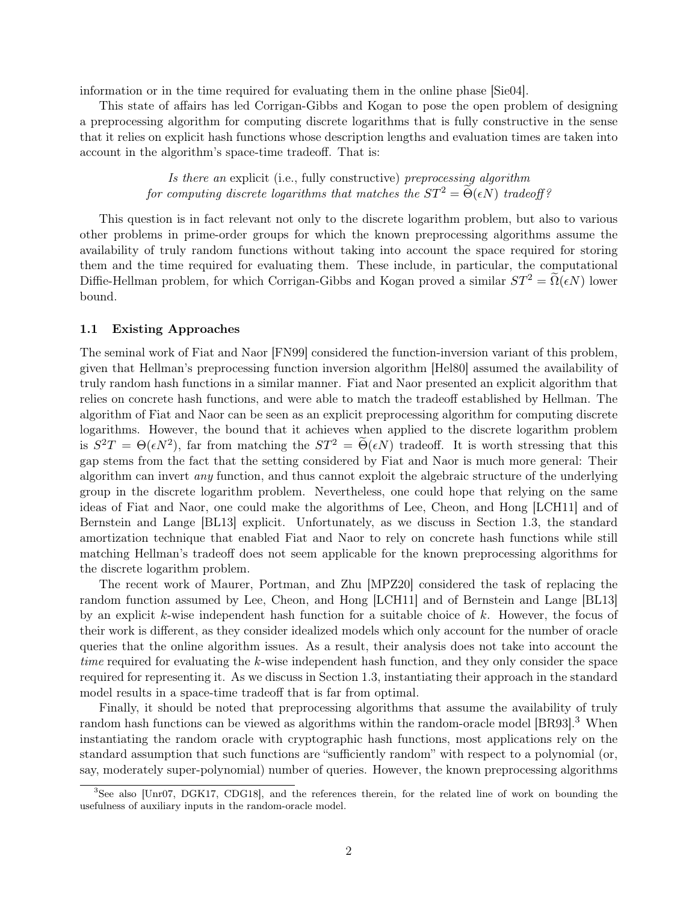information or in the time required for evaluating them in the online phase [\[Sie04\]](#page-16-3).

This state of affairs has led Corrigan-Gibbs and Kogan to pose the open problem of designing a preprocessing algorithm for computing discrete logarithms that is fully constructive in the sense that it relies on explicit hash functions whose description lengths and evaluation times are taken into account in the algorithm's space-time tradeoff. That is:

> Is there an explicit (i.e., fully constructive) preprocessing algorithm for computing discrete logarithms that matches the  $ST^2 = \Theta(\epsilon N)$  tradeoff?

This question is in fact relevant not only to the discrete logarithm problem, but also to various other problems in prime-order groups for which the known preprocessing algorithms assume the availability of truly random functions without taking into account the space required for storing them and the time required for evaluating them. These include, in particular, the computational Diffie-Hellman problem, for which Corrigan-Gibbs and Kogan proved a similar  $ST^2 = \tilde{\Omega}(\epsilon N)$  lower bound.

### 1.1 Existing Approaches

The seminal work of Fiat and Naor [\[FN99\]](#page-15-4) considered the function-inversion variant of this problem, given that Hellman's preprocessing function inversion algorithm [\[Hel80\]](#page-15-3) assumed the availability of truly random hash functions in a similar manner. Fiat and Naor presented an explicit algorithm that relies on concrete hash functions, and were able to match the tradeoff established by Hellman. The algorithm of Fiat and Naor can be seen as an explicit preprocessing algorithm for computing discrete logarithms. However, the bound that it achieves when applied to the discrete logarithm problem is  $S^2T = \Theta(\epsilon N^2)$ , far from matching the  $ST^2 = \widetilde{\Theta}(\epsilon N)$  tradeoff. It is worth stressing that this gap stems from the fact that the setting considered by Fiat and Naor is much more general: Their algorithm can invert any function, and thus cannot exploit the algebraic structure of the underlying group in the discrete logarithm problem. Nevertheless, one could hope that relying on the same ideas of Fiat and Naor, one could make the algorithms of Lee, Cheon, and Hong [\[LCH11\]](#page-16-1) and of Bernstein and Lange [\[BL13\]](#page-15-6) explicit. Unfortunately, as we discuss in Section [1.3,](#page-4-0) the standard amortization technique that enabled Fiat and Naor to rely on concrete hash functions while still matching Hellman's tradeoff does not seem applicable for the known preprocessing algorithms for the discrete logarithm problem.

The recent work of Maurer, Portman, and Zhu [\[MPZ20\]](#page-16-4) considered the task of replacing the random function assumed by Lee, Cheon, and Hong [\[LCH11\]](#page-16-1) and of Bernstein and Lange [\[BL13\]](#page-15-6) by an explicit k-wise independent hash function for a suitable choice of  $k$ . However, the focus of their work is different, as they consider idealized models which only account for the number of oracle queries that the online algorithm issues. As a result, their analysis does not take into account the time required for evaluating the k-wise independent hash function, and they only consider the space required for representing it. As we discuss in Section [1.3,](#page-4-0) instantiating their approach in the standard model results in a space-time tradeoff that is far from optimal.

Finally, it should be noted that preprocessing algorithms that assume the availability of truly random hash functions can be viewed as algorithms within the random-oracle model [\[BR93\]](#page-15-7).<sup>[3](#page-2-0)</sup> When instantiating the random oracle with cryptographic hash functions, most applications rely on the standard assumption that such functions are "sufficiently random" with respect to a polynomial (or, say, moderately super-polynomial) number of queries. However, the known preprocessing algorithms

<span id="page-2-0"></span><sup>3</sup>See also [\[Unr07,](#page-16-5) [DGK17,](#page-15-8) [CDG18\]](#page-15-9), and the references therein, for the related line of work on bounding the usefulness of auxiliary inputs in the random-oracle model.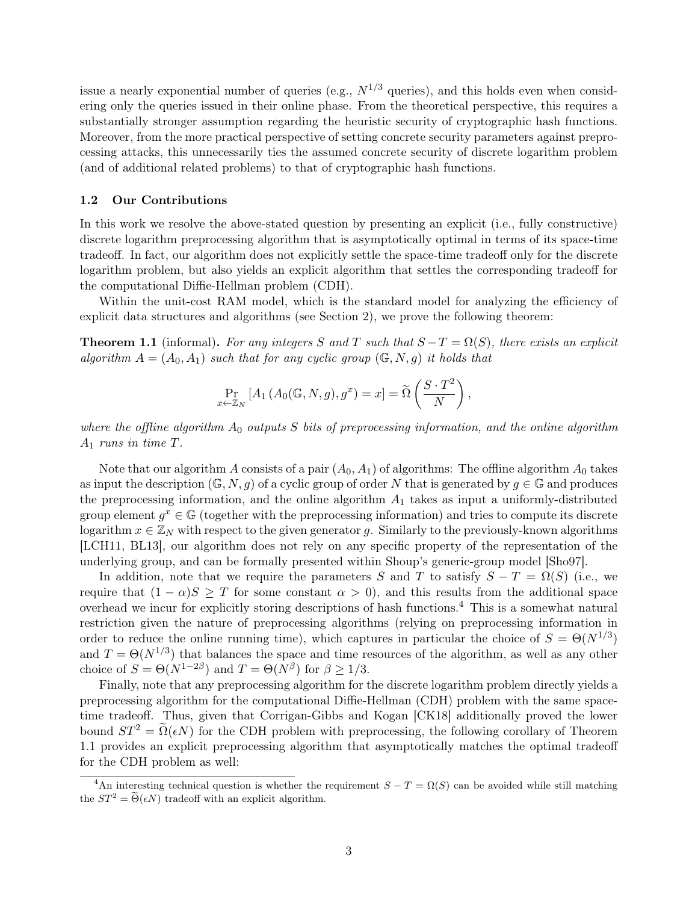issue a nearly exponential number of queries (e.g.,  $N^{1/3}$  queries), and this holds even when considering only the queries issued in their online phase. From the theoretical perspective, this requires a substantially stronger assumption regarding the heuristic security of cryptographic hash functions. Moreover, from the more practical perspective of setting concrete security parameters against preprocessing attacks, this unnecessarily ties the assumed concrete security of discrete logarithm problem (and of additional related problems) to that of cryptographic hash functions.

# 1.2 Our Contributions

In this work we resolve the above-stated question by presenting an explicit (i.e., fully constructive) discrete logarithm preprocessing algorithm that is asymptotically optimal in terms of its space-time tradeoff. In fact, our algorithm does not explicitly settle the space-time tradeoff only for the discrete logarithm problem, but also yields an explicit algorithm that settles the corresponding tradeoff for the computational Diffie-Hellman problem (CDH).

Within the unit-cost RAM model, which is the standard model for analyzing the efficiency of explicit data structures and algorithms (see Section [2\)](#page-7-0), we prove the following theorem:

<span id="page-3-1"></span>**Theorem 1.1** (informal). For any integers S and T such that  $S - T = \Omega(S)$ , there exists an explicit algorithm  $A = (A_0, A_1)$  such that for any cyclic group  $(\mathbb{G}, N, q)$  it holds that

$$
\Pr_{x \leftarrow \mathbb{Z}_N} \left[ A_1 \left( A_0(\mathbb{G}, N, g), g^x \right) = x \right] = \widetilde{\Omega} \left( \frac{S \cdot T^2}{N} \right),
$$

where the offline algorithm  $A_0$  outputs S bits of preprocessing information, and the online algorithm  $A_1$  runs in time T.

Note that our algorithm A consists of a pair  $(A_0, A_1)$  of algorithms: The offline algorithm  $A_0$  takes as input the description  $(\mathbb{G}, N, g)$  of a cyclic group of order N that is generated by  $g \in \mathbb{G}$  and produces the preprocessing information, and the online algorithm  $A_1$  takes as input a uniformly-distributed group element  $g^x \in \mathbb{G}$  (together with the preprocessing information) and tries to compute its discrete logarithm  $x \in \mathbb{Z}_N$  with respect to the given generator g. Similarly to the previously-known algorithms [\[LCH11,](#page-16-1) [BL13\]](#page-15-6), our algorithm does not rely on any specific property of the representation of the underlying group, and can be formally presented within Shoup's generic-group model [\[Sho97\]](#page-16-0).

In addition, note that we require the parameters S and T to satisfy  $S - T = \Omega(S)$  (i.e., we require that  $(1 - \alpha)S \geq T$  for some constant  $\alpha > 0$ , and this results from the additional space overhead we incur for explicitly storing descriptions of hash functions.[4](#page-3-0) This is a somewhat natural restriction given the nature of preprocessing algorithms (relying on preprocessing information in order to reduce the online running time), which captures in particular the choice of  $S = \Theta(N^{1/3})$ and  $T = \Theta(N^{1/3})$  that balances the space and time resources of the algorithm, as well as any other choice of  $S = \Theta(N^{1-2\beta})$  and  $T = \Theta(N^{\beta})$  for  $\beta \ge 1/3$ .

Finally, note that any preprocessing algorithm for the discrete logarithm problem directly yields a preprocessing algorithm for the computational Diffie-Hellman (CDH) problem with the same spacetime tradeoff. Thus, given that Corrigan-Gibbs and Kogan [\[CK18\]](#page-15-2) additionally proved the lower bound  $ST^2 = \widetilde{\Omega}(\epsilon N)$  for the CDH problem with preprocessing, the following corollary of Theorem [1.1](#page-3-1) provides an explicit preprocessing algorithm that asymptotically matches the optimal tradeoff for the CDH problem as well:

<span id="page-3-0"></span><sup>&</sup>lt;sup>4</sup>An interesting technical question is whether the requirement  $S - T = \Omega(S)$  can be avoided while still matching the  $ST^2 = \widetilde{\Theta}(\epsilon N)$  tradeoff with an explicit algorithm.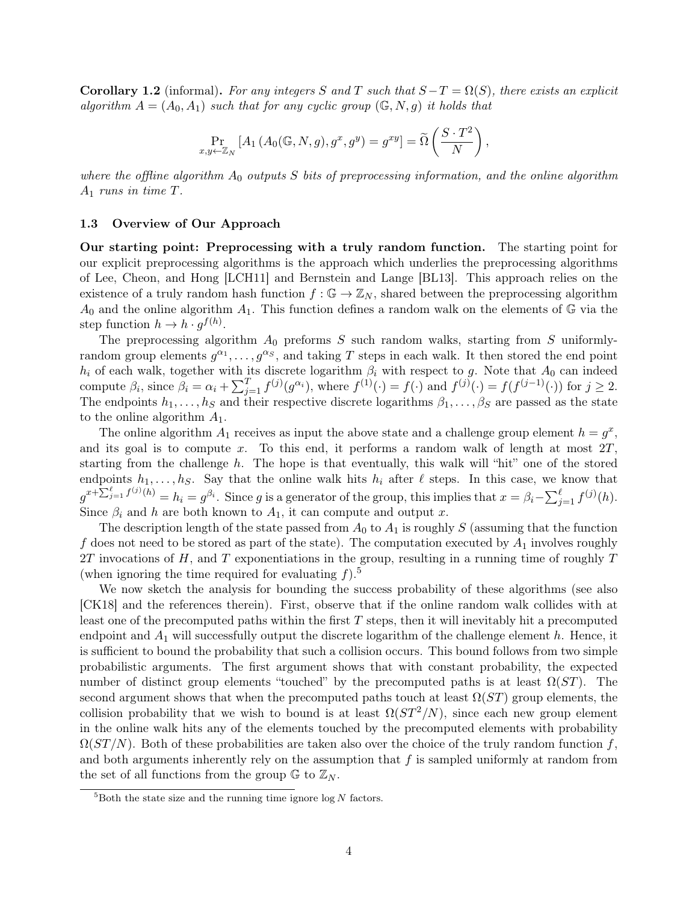**Corollary 1.2** (informal). For any integers S and T such that  $S - T = \Omega(S)$ , there exists an explicit algorithm  $A = (A_0, A_1)$  such that for any cyclic group  $(\mathbb{G}, N, g)$  it holds that

$$
\Pr_{x,y \leftarrow \mathbb{Z}_N} \left[ A_1 \left( A_0(\mathbb{G}, N, g), g^x, g^y \right) = g^{xy} \right] = \widetilde{\Omega} \left( \frac{S \cdot T^2}{N} \right),
$$

where the offline algorithm  $A_0$  outputs S bits of preprocessing information, and the online algorithm  $A_1$  runs in time  $T$ .

#### <span id="page-4-0"></span>1.3 Overview of Our Approach

Our starting point: Preprocessing with a truly random function. The starting point for our explicit preprocessing algorithms is the approach which underlies the preprocessing algorithms of Lee, Cheon, and Hong [\[LCH11\]](#page-16-1) and Bernstein and Lange [\[BL13\]](#page-15-6). This approach relies on the existence of a truly random hash function  $f : \mathbb{G} \to \mathbb{Z}_N$ , shared between the preprocessing algorithm  $A_0$  and the online algorithm  $A_1$ . This function defines a random walk on the elements of  $\mathbb G$  via the step function  $h \to h \cdot g^{f(h)}$ .

The preprocessing algorithm  $A_0$  preforms S such random walks, starting from S uniformlyrandom group elements  $g^{\alpha_1}, \ldots, g^{\alpha_S}$ , and taking T steps in each walk. It then stored the end point  $h_i$  of each walk, together with its discrete logarithm  $\beta_i$  with respect to g. Note that  $A_0$  can indeed compute  $\beta_i$ , since  $\beta_i = \alpha_i + \sum_{j=1}^T f^{(j)}(g^{\alpha_i})$ , where  $f^{(1)}(\cdot) = f(\cdot)$  and  $f^{(j)}(\cdot) = f(f^{(j-1)}(\cdot))$  for  $j \ge 2$ . The endpoints  $h_1, \ldots, h_S$  and their respective discrete logarithms  $\beta_1, \ldots, \beta_S$  are passed as the state to the online algorithm  $A_1$ .

The online algorithm  $A_1$  receives as input the above state and a challenge group element  $h = g^x$ , and its goal is to compute x. To this end, it performs a random walk of length at most  $2T$ , starting from the challenge  $h$ . The hope is that eventually, this walk will "hit" one of the stored endpoints  $h_1, \ldots, h_S$ . Say that the online walk hits  $h_i$  after  $\ell$  steps. In this case, we know that  $g^{x+\sum_{j=1}^{\ell}f^{(j)}(h)}=h_i=g^{\beta_i}$ . Since g is a generator of the group, this implies that  $x=\beta_i-\sum_{j=1}^{\ell}f^{(j)}(h)$ . Since  $\beta_i$  and h are both known to  $A_1$ , it can compute and output x.

The description length of the state passed from  $A_0$  to  $A_1$  is roughly S (assuming that the function f does not need to be stored as part of the state). The computation executed by  $A_1$  involves roughly  $2T$  invocations of H, and T exponentiations in the group, resulting in a running time of roughly T (when ignoring the time required for evaluating  $f$ ).<sup>[5](#page-4-1)</sup>

We now sketch the analysis for bounding the success probability of these algorithms (see also [\[CK18\]](#page-15-2) and the references therein). First, observe that if the online random walk collides with at least one of the precomputed paths within the first  $T$  steps, then it will inevitably hit a precomputed endpoint and  $A_1$  will successfully output the discrete logarithm of the challenge element h. Hence, it is sufficient to bound the probability that such a collision occurs. This bound follows from two simple probabilistic arguments. The first argument shows that with constant probability, the expected number of distinct group elements "touched" by the precomputed paths is at least  $\Omega(ST)$ . The second argument shows that when the precomputed paths touch at least  $\Omega(ST)$  group elements, the collision probability that we wish to bound is at least  $\Omega(ST^2/N)$ , since each new group element in the online walk hits any of the elements touched by the precomputed elements with probability  $\Omega(ST/N)$ . Both of these probabilities are taken also over the choice of the truly random function f, and both arguments inherently rely on the assumption that  $f$  is sampled uniformly at random from the set of all functions from the group  $\mathbb{G}$  to  $\mathbb{Z}_N$ .

<span id="page-4-1"></span> ${}^{5}$ Both the state size and the running time ignore log N factors.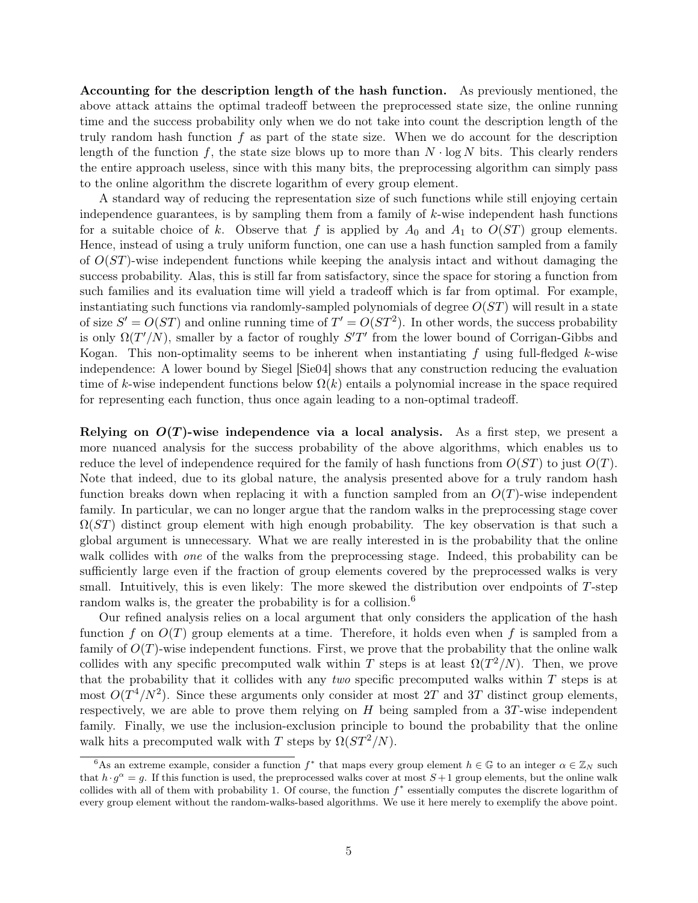Accounting for the description length of the hash function. As previously mentioned, the above attack attains the optimal tradeoff between the preprocessed state size, the online running time and the success probability only when we do not take into count the description length of the truly random hash function  $f$  as part of the state size. When we do account for the description length of the function f, the state size blows up to more than  $N \cdot \log N$  bits. This clearly renders the entire approach useless, since with this many bits, the preprocessing algorithm can simply pass to the online algorithm the discrete logarithm of every group element.

A standard way of reducing the representation size of such functions while still enjoying certain independence guarantees, is by sampling them from a family of  $k$ -wise independent hash functions for a suitable choice of k. Observe that f is applied by  $A_0$  and  $A_1$  to  $O(ST)$  group elements. Hence, instead of using a truly uniform function, one can use a hash function sampled from a family of  $O(ST)$ -wise independent functions while keeping the analysis intact and without damaging the success probability. Alas, this is still far from satisfactory, since the space for storing a function from such families and its evaluation time will yield a tradeoff which is far from optimal. For example, instantiating such functions via randomly-sampled polynomials of degree  $O(ST)$  will result in a state of size  $S' = O(ST)$  and online running time of  $T' = O(ST^2)$ . In other words, the success probability is only  $\Omega(T'/N)$ , smaller by a factor of roughly  $S'T'$  from the lower bound of Corrigan-Gibbs and Kogan. This non-optimality seems to be inherent when instantiating f using full-fledged k-wise independence: A lower bound by Siegel [\[Sie04\]](#page-16-3) shows that any construction reducing the evaluation time of k-wise independent functions below  $\Omega(k)$  entails a polynomial increase in the space required for representing each function, thus once again leading to a non-optimal tradeoff.

Relying on  $O(T)$ -wise independence via a local analysis. As a first step, we present a more nuanced analysis for the success probability of the above algorithms, which enables us to reduce the level of independence required for the family of hash functions from  $O(ST)$  to just  $O(T)$ . Note that indeed, due to its global nature, the analysis presented above for a truly random hash function breaks down when replacing it with a function sampled from an  $O(T)$ -wise independent family. In particular, we can no longer argue that the random walks in the preprocessing stage cover  $\Omega(ST)$  distinct group element with high enough probability. The key observation is that such a global argument is unnecessary. What we are really interested in is the probability that the online walk collides with *one* of the walks from the preprocessing stage. Indeed, this probability can be sufficiently large even if the fraction of group elements covered by the preprocessed walks is very small. Intuitively, this is even likely: The more skewed the distribution over endpoints of  $T$ -step random walks is, the greater the probability is for a collision.<sup>[6](#page-5-0)</sup>

Our refined analysis relies on a local argument that only considers the application of the hash function f on  $O(T)$  group elements at a time. Therefore, it holds even when f is sampled from a family of  $O(T)$ -wise independent functions. First, we prove that the probability that the online walk collides with any specific precomputed walk within T steps is at least  $\Omega(T^2/N)$ . Then, we prove that the probability that it collides with any two specific precomputed walks within  $T$  steps is at most  $O(T^4/N^2)$ . Since these arguments only consider at most 2T and 3T distinct group elements, respectively, we are able to prove them relying on  $H$  being sampled from a 3T-wise independent family. Finally, we use the inclusion-exclusion principle to bound the probability that the online walk hits a precomputed walk with T steps by  $\Omega(ST^2/N)$ .

<span id="page-5-0"></span><sup>&</sup>lt;sup>6</sup>As an extreme example, consider a function  $f^*$  that maps every group element  $h \in \mathbb{G}$  to an integer  $\alpha \in \mathbb{Z}_N$  such that  $h \cdot g^{\alpha} = g$ . If this function is used, the preprocessed walks cover at most  $S+1$  group elements, but the online walk collides with all of them with probability 1. Of course, the function  $f^*$  essentially computes the discrete logarithm of every group element without the random-walks-based algorithms. We use it here merely to exemplify the above point.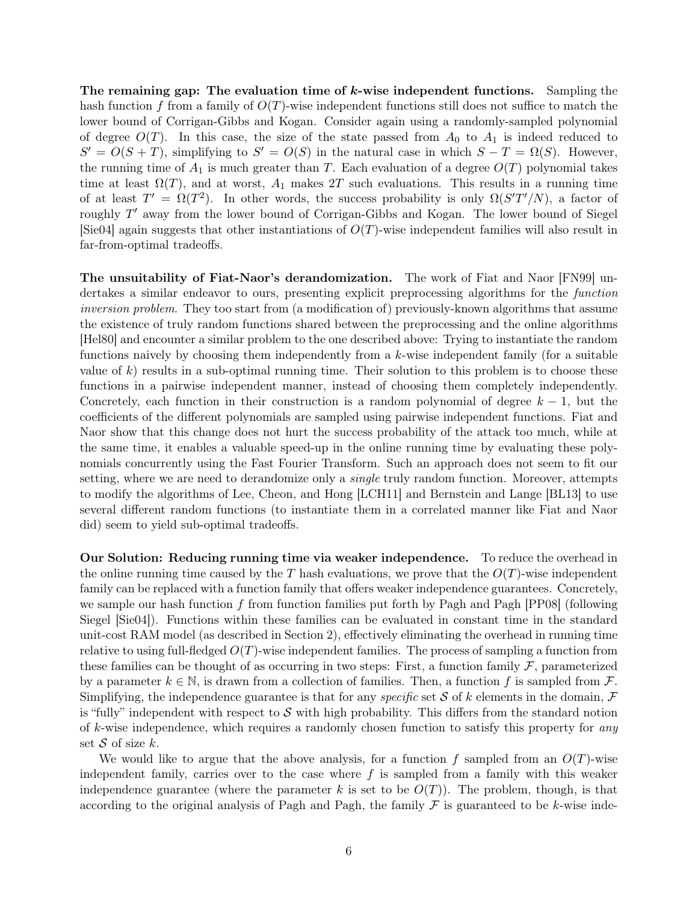The remaining gap: The evaluation time of  $k$ -wise independent functions. Sampling the hash function f from a family of  $O(T)$ -wise independent functions still does not suffice to match the lower bound of Corrigan-Gibbs and Kogan. Consider again using a randomly-sampled polynomial of degree  $O(T)$ . In this case, the size of the state passed from  $A_0$  to  $A_1$  is indeed reduced to  $S' = O(S + T)$ , simplifying to  $S' = O(S)$  in the natural case in which  $S - T = \Omega(S)$ . However, the running time of  $A_1$  is much greater than T. Each evaluation of a degree  $O(T)$  polynomial takes time at least  $\Omega(T)$ , and at worst,  $A_1$  makes 2T such evaluations. This results in a running time of at least  $T' = \Omega(T^2)$ . In other words, the success probability is only  $\Omega(S'T'/N)$ , a factor of roughly  $T'$  away from the lower bound of Corrigan-Gibbs and Kogan. The lower bound of Siegel  $\left[ \text{Sie04} \right]$  again suggests that other instantiations of  $O(T)$ -wise independent families will also result in far-from-optimal tradeoffs.

The unsuitability of Fiat-Naor's derandomization. The work of Fiat and Naor [\[FN99\]](#page-15-4) undertakes a similar endeavor to ours, presenting explicit preprocessing algorithms for the function inversion problem. They too start from (a modification of) previously-known algorithms that assume the existence of truly random functions shared between the preprocessing and the online algorithms [\[Hel80\]](#page-15-3) and encounter a similar problem to the one described above: Trying to instantiate the random functions naively by choosing them independently from a k-wise independent family (for a suitable value of  $k$ ) results in a sub-optimal running time. Their solution to this problem is to choose these functions in a pairwise independent manner, instead of choosing them completely independently. Concretely, each function in their construction is a random polynomial of degree  $k - 1$ , but the coefficients of the different polynomials are sampled using pairwise independent functions. Fiat and Naor show that this change does not hurt the success probability of the attack too much, while at the same time, it enables a valuable speed-up in the online running time by evaluating these polynomials concurrently using the Fast Fourier Transform. Such an approach does not seem to fit our setting, where we are need to derandomize only a *single* truly random function. Moreover, attempts to modify the algorithms of Lee, Cheon, and Hong [\[LCH11\]](#page-16-1) and Bernstein and Lange [\[BL13\]](#page-15-6) to use several different random functions (to instantiate them in a correlated manner like Fiat and Naor did) seem to yield sub-optimal tradeoffs.

Our Solution: Reducing running time via weaker independence. To reduce the overhead in the online running time caused by the T hash evaluations, we prove that the  $O(T)$ -wise independent family can be replaced with a function family that offers weaker independence guarantees. Concretely, we sample our hash function f from function families put forth by Pagh and Pagh  $[PP08]$  (following Siegel [\[Sie04\]](#page-16-3)). Functions within these families can be evaluated in constant time in the standard unit-cost RAM model (as described in Section [2\)](#page-7-0), effectively eliminating the overhead in running time relative to using full-fledged  $O(T)$ -wise independent families. The process of sampling a function from these families can be thought of as occurring in two steps: First, a function family  $\mathcal F$ , parameterized by a parameter  $k \in \mathbb{N}$ , is drawn from a collection of families. Then, a function f is sampled from F. Simplifying, the independence guarantee is that for any *specific* set S of k elements in the domain,  $\mathcal F$ is "fully" independent with respect to  $\mathcal S$  with high probability. This differs from the standard notion of k-wise independence, which requires a randomly chosen function to satisfy this property for any set S of size  $k$ .

We would like to argue that the above analysis, for a function f sampled from an  $O(T)$ -wise independent family, carries over to the case where  $f$  is sampled from a family with this weaker independence guarantee (where the parameter k is set to be  $O(T)$ ). The problem, though, is that according to the original analysis of Pagh and Pagh, the family  $\mathcal F$  is guaranteed to be k-wise inde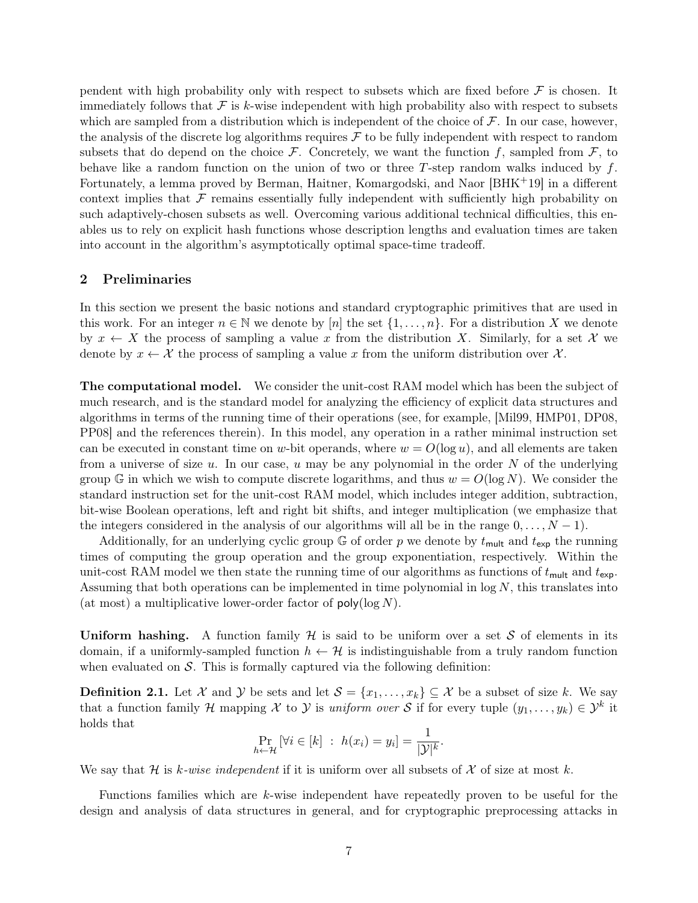pendent with high probability only with respect to subsets which are fixed before  $\mathcal F$  is chosen. It immediately follows that  $\mathcal F$  is k-wise independent with high probability also with respect to subsets which are sampled from a distribution which is independent of the choice of  $\mathcal F$ . In our case, however, the analysis of the discrete log algorithms requires  $\mathcal F$  to be fully independent with respect to random subsets that do depend on the choice  $\mathcal F$ . Concretely, we want the function f, sampled from  $\mathcal F$ , to behave like a random function on the union of two or three T-step random walks induced by  $f$ . Fortunately, a lemma proved by Berman, Haitner, Komargodski, and Naor [\[BHK](#page-15-10)+19] in a different context implies that  $\mathcal F$  remains essentially fully independent with sufficiently high probability on such adaptively-chosen subsets as well. Overcoming various additional technical difficulties, this enables us to rely on explicit hash functions whose description lengths and evaluation times are taken into account in the algorithm's asymptotically optimal space-time tradeoff.

## <span id="page-7-0"></span>2 Preliminaries

In this section we present the basic notions and standard cryptographic primitives that are used in this work. For an integer  $n \in \mathbb{N}$  we denote by [n] the set  $\{1, \ldots, n\}$ . For a distribution X we denote by  $x \leftarrow X$  the process of sampling a value x from the distribution X. Similarly, for a set X we denote by  $x \leftarrow \mathcal{X}$  the process of sampling a value x from the uniform distribution over  $\mathcal{X}$ .

The computational model. We consider the unit-cost RAM model which has been the subject of much research, and is the standard model for analyzing the efficiency of explicit data structures and algorithms in terms of the running time of their operations (see, for example, [\[Mil99,](#page-16-7) [HMP01,](#page-15-11) [DP08,](#page-15-12) [PP08\]](#page-16-6) and the references therein). In this model, any operation in a rather minimal instruction set can be executed in constant time on w-bit operands, where  $w = O(\log u)$ , and all elements are taken from a universe of size  $u$ . In our case,  $u$  may be any polynomial in the order  $N$  of the underlying group G in which we wish to compute discrete logarithms, and thus  $w = O(\log N)$ . We consider the standard instruction set for the unit-cost RAM model, which includes integer addition, subtraction, bit-wise Boolean operations, left and right bit shifts, and integer multiplication (we emphasize that the integers considered in the analysis of our algorithms will all be in the range  $0, \ldots, N - 1$ .

Additionally, for an underlying cyclic group  $\mathbb{G}$  of order p we denote by  $t_{\text{mult}}$  and  $t_{\text{exp}}$  the running times of computing the group operation and the group exponentiation, respectively. Within the unit-cost RAM model we then state the running time of our algorithms as functions of  $t_{\text{mult}}$  and  $t_{\text{exp}}$ . Assuming that both operations can be implemented in time polynomial in  $\log N$ , this translates into (at most) a multiplicative lower-order factor of  $poly(\log N)$ .

Uniform hashing. A function family  $\mathcal H$  is said to be uniform over a set S of elements in its domain, if a uniformly-sampled function  $h \leftarrow \mathcal{H}$  is indistinguishable from a truly random function when evaluated on  $\mathcal{S}$ . This is formally captured via the following definition:

**Definition 2.1.** Let X and Y be sets and let  $S = \{x_1, \ldots, x_k\} \subseteq X$  be a subset of size k. We say that a function family H mapping X to Y is uniform over S if for every tuple  $(y_1, \ldots, y_k) \in \mathcal{Y}^k$  it holds that

$$
\Pr_{h \leftarrow \mathcal{H}} \left[ \forall i \in [k] \; : \; h(x_i) = y_i \right] = \frac{1}{|\mathcal{Y}|^k}.
$$

We say that H is k-wise independent if it is uniform over all subsets of X of size at most k.

Functions families which are k-wise independent have repeatedly proven to be useful for the design and analysis of data structures in general, and for cryptographic preprocessing attacks in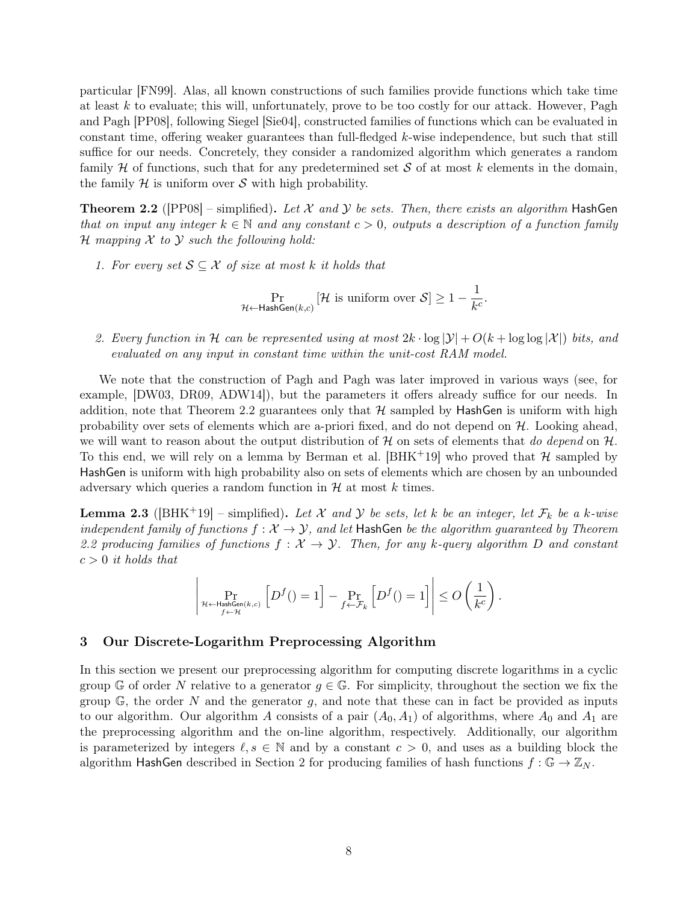particular [\[FN99\]](#page-15-4). Alas, all known constructions of such families provide functions which take time at least  $k$  to evaluate; this will, unfortunately, prove to be too costly for our attack. However, Pagh and Pagh [\[PP08\]](#page-16-6), following Siegel [\[Sie04\]](#page-16-3), constructed families of functions which can be evaluated in constant time, offering weaker guarantees than full-fledged k-wise independence, but such that still suffice for our needs. Concretely, they consider a randomized algorithm which generates a random family H of functions, such that for any predetermined set S of at most k elements in the domain, the family  $\mathcal H$  is uniform over  $\mathcal S$  with high probability.

<span id="page-8-0"></span>**Theorem 2.2** ([\[PP08\]](#page-16-6) – simplified). Let X and Y be sets. Then, there exists an algorithm HashGen that on input any integer  $k \in \mathbb{N}$  and any constant  $c > 0$ , outputs a description of a function family  $H$  mapping  $X$  to  $Y$  such the following hold:

1. For every set  $S \subseteq \mathcal{X}$  of size at most k it holds that

 $\Pr_{\mathcal{H} \leftarrow \mathsf{HashGen}(k, c)} \left[\mathcal{H} \text{ is uniform over } \mathcal{S} \right] \geq 1 - \frac{1}{k^c}$  $\frac{1}{k^c}$ .

2. Every function in H can be represented using at most  $2k \cdot \log |\mathcal{Y}| + O(k + \log \log |\mathcal{X}|)$  bits, and evaluated on any input in constant time within the unit-cost RAM model.

We note that the construction of Pagh and Pagh was later improved in various ways (see, for example, [\[DW03,](#page-15-13) [DR09,](#page-15-14) [ADW14\]](#page-15-15)), but the parameters it offers already suffice for our needs. In addition, note that Theorem [2.2](#page-8-0) guarantees only that  $H$  sampled by HashGen is uniform with high probability over sets of elements which are a-priori fixed, and do not depend on  $H$ . Looking ahead, we will want to reason about the output distribution of  $\mathcal H$  on sets of elements that do depend on  $\mathcal H$ . To this end, we will rely on a lemma by Berman et al.  $[BHK^+19]$  $[BHK^+19]$  who proved that H sampled by HashGen is uniform with high probability also on sets of elements which are chosen by an unbounded adversary which queries a random function in  $H$  at most k times.

<span id="page-8-1"></span>**Lemma 2.3** ([\[BHK](#page-15-10)<sup>+</sup>19] – simplified). Let X and Y be sets, let k be an integer, let  $\mathcal{F}_k$  be a k-wise independent family of functions  $f: \mathcal{X} \to \mathcal{Y}$ , and let HashGen be the algorithm guaranteed by Theorem [2.2](#page-8-0) producing families of functions  $f: \mathcal{X} \to \mathcal{Y}$ . Then, for any k-query algorithm D and constant  $c > 0$  it holds that

$$
\left|\Pr_{\substack{\mathcal{H}\leftarrow \mathsf{HashGen}(k,c)\\ f\leftarrow \mathcal{H}}} \left[D^f() = 1\right] - \Pr_{f\leftarrow \mathcal{F}_k} \left[D^f() = 1\right]\right| \leq O\left(\frac{1}{k^c}\right).
$$

# 3 Our Discrete-Logarithm Preprocessing Algorithm

In this section we present our preprocessing algorithm for computing discrete logarithms in a cyclic group G of order N relative to a generator  $q \in \mathbb{G}$ . For simplicity, throughout the section we fix the group  $\mathbb{G}$ , the order N and the generator g, and note that these can in fact be provided as inputs to our algorithm. Our algorithm A consists of a pair  $(A_0, A_1)$  of algorithms, where  $A_0$  and  $A_1$  are the preprocessing algorithm and the on-line algorithm, respectively. Additionally, our algorithm is parameterized by integers  $\ell, s \in \mathbb{N}$  and by a constant  $c > 0$ , and uses as a building block the algorithm HashGen described in Section [2](#page-7-0) for producing families of hash functions  $f : \mathbb{G} \to \mathbb{Z}_N$ .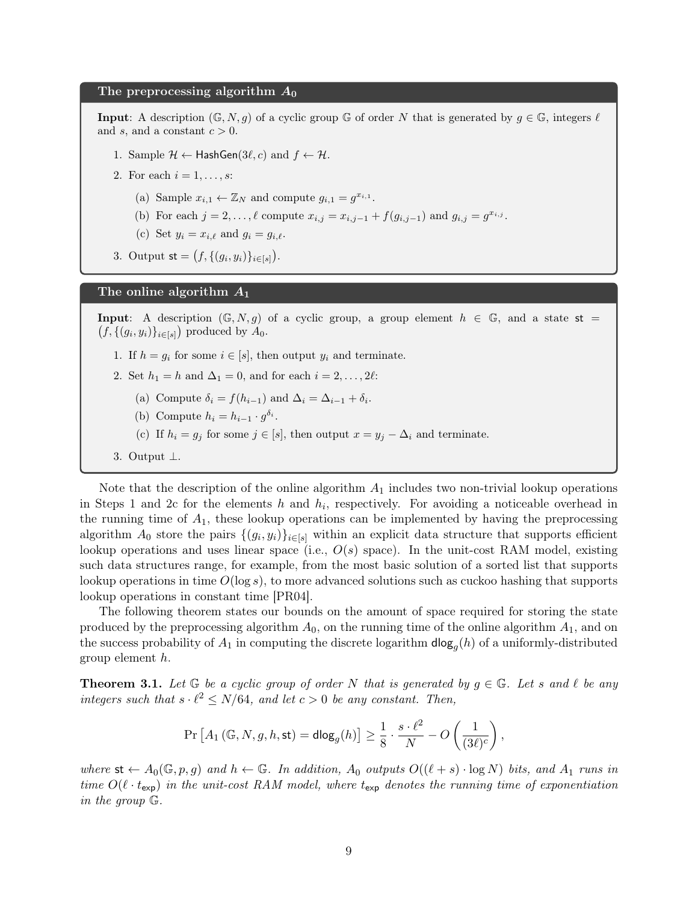#### The preprocessing algorithm  $A_0$

**Input:** A description  $(\mathbb{G}, N, g)$  of a cyclic group  $\mathbb{G}$  of order N that is generated by  $g \in \mathbb{G}$ , integers  $\ell$ and s, and a constant  $c > 0$ .

- <span id="page-9-3"></span>1. Sample  $\mathcal{H} \leftarrow$  HashGen(3 $\ell, c$ ) and  $f \leftarrow \mathcal{H}$ .
- <span id="page-9-5"></span><span id="page-9-4"></span>2. For each  $i = 1, \ldots, s$ :
	- (a) Sample  $x_{i,1} \leftarrow \mathbb{Z}_N$  and compute  $g_{i,1} = g^{x_{i,1}}$ .
	- (b) For each  $j = 2, ..., \ell$  compute  $x_{i,j} = x_{i,j-1} + f(g_{i,j-1})$  and  $g_{i,j} = g^{x_{i,j}}$ .
	- (c) Set  $y_i = x_{i,\ell}$  and  $g_i = g_{i,\ell}$ .
- 3. Output  $\mathsf{st} = (f, \{(g_i, y_i)\}_{i \in [s]})$ .

### The online algorithm  $A_1$

**Input:** A description  $(\mathbb{G}, N, g)$  of a cyclic group, a group element  $h \in \mathbb{G}$ , and a state st =  $(f, \{(g_i, y_i)\}_{i \in [s]})$  produced by  $A_0$ .

- <span id="page-9-0"></span>1. If  $h = g_i$  for some  $i \in [s]$ , then output  $y_i$  and terminate.
- <span id="page-9-6"></span>2. Set  $h_1 = h$  and  $\Delta_1 = 0$ , and for each  $i = 2, \ldots, 2\ell$ :
	- (a) Compute  $\delta_i = f(h_{i-1})$  and  $\Delta_i = \Delta_{i-1} + \delta_i$ .
	- (b) Compute  $h_i = h_{i-1} \cdot g^{\delta_i}$ .
	- (c) If  $h_i = g_j$  for some  $j \in [s]$ , then output  $x = y_j \Delta_i$  and terminate.
- <span id="page-9-1"></span>3. Output ⊥.

Note that the description of the online algorithm  $A_1$  includes two non-trivial lookup operations in Steps [1](#page-9-0) and [2c](#page-9-1) for the elements h and  $h_i$ , respectively. For avoiding a noticeable overhead in the running time of  $A_1$ , these lookup operations can be implemented by having the preprocessing algorithm  $A_0$  store the pairs  $\{(g_i, y_i)\}_{i \in [s]}$  within an explicit data structure that supports efficient lookup operations and uses linear space (i.e.,  $O(s)$  space). In the unit-cost RAM model, existing such data structures range, for example, from the most basic solution of a sorted list that supports lookup operations in time  $O(\log s)$ , to more advanced solutions such as cuckoo hashing that supports lookup operations in constant time [\[PR04\]](#page-16-8).

The following theorem states our bounds on the amount of space required for storing the state produced by the preprocessing algorithm  $A_0$ , on the running time of the online algorithm  $A_1$ , and on the success probability of  $A_1$  in computing the discrete logarithm  $\mathsf{dlog}_g(h)$  of a uniformly-distributed group element h.

<span id="page-9-2"></span>**Theorem 3.1.** Let  $\mathbb{G}$  be a cyclic group of order N that is generated by  $g \in \mathbb{G}$ . Let s and  $\ell$  be any integers such that  $s \cdot \ell^2 \leq N/64$ , and let  $c > 0$  be any constant. Then,

$$
\Pr\left[A_1\left(\mathbb{G},N,g,h,\text{st}\right)=\text{dlog}_g(h)\right]\geq \frac{1}{8}\cdot \frac{s\cdot \ell^2}{N}-O\left(\frac{1}{(3\ell)^c}\right),
$$

where  $st \leftarrow A_0(\mathbb{G}, p, g)$  and  $h \leftarrow \mathbb{G}$ . In addition,  $A_0$  outputs  $O((\ell + s) \cdot \log N)$  bits, and  $A_1$  runs in time  $O(\ell \cdot t_{\exp})$  in the unit-cost RAM model, where  $t_{\exp}$  denotes the running time of exponentiation in the group G.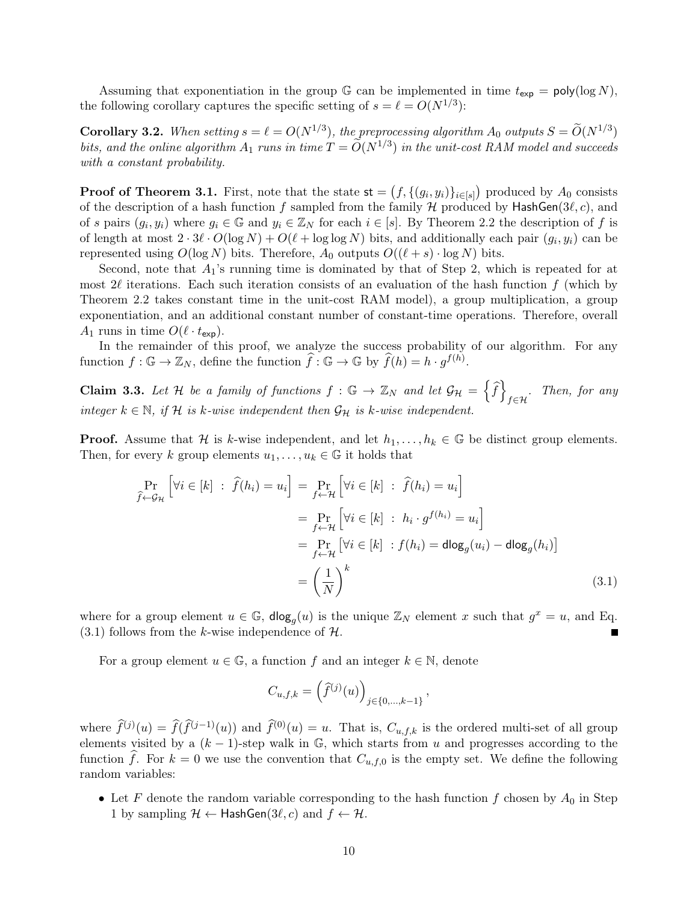Assuming that exponentiation in the group  $\mathbb G$  can be implemented in time  $t_{\exp} = \text{poly}(\log N)$ , the following corollary captures the specific setting of  $s = \ell = O(N^{1/3})$ :

**Corollary 3.2.** When setting  $s = \ell = O(N^{1/3})$ , the preprocessing algorithm  $A_0$  outputs  $S = \widetilde{O}(N^{1/3})$ bits, and the online algorithm  $A_1$  runs in time  $T = \widetilde{O}(N^{1/3})$  in the unit-cost RAM model and succeeds with a constant probability.

**Proof of Theorem [3.1.](#page-9-2)** First, note that the state  $\mathsf{st} = (f, \{(g_i, y_i)\}_{i \in [s]})$  produced by  $A_0$  consists of the description of a hash function f sampled from the family  $H$  produced by HashGen(3 $\ell$ , c), and of s pairs  $(g_i, y_i)$  where  $g_i \in \mathbb{G}$  and  $y_i \in \mathbb{Z}_N$  for each  $i \in [s]$ . By Theorem [2.2](#page-8-0) the description of f is of length at most  $2 \cdot 3\ell \cdot O(\log N) + O(\ell + \log \log N)$  bits, and additionally each pair  $(g_i, y_i)$  can be represented using  $O(\log N)$  bits. Therefore,  $A_0$  outputs  $O((\ell + s) \cdot \log N)$  bits.

Second, note that  $A_1$ 's running time is dominated by that of Step 2, which is repeated for at most  $2\ell$  iterations. Each such iteration consists of an evaluation of the hash function f (which by Theorem [2.2](#page-8-0) takes constant time in the unit-cost RAM model), a group multiplication, a group exponentiation, and an additional constant number of constant-time operations. Therefore, overall  $A_1$  runs in time  $O(\ell \cdot t_{\exp}).$ 

In the remainder of this proof, we analyze the success probability of our algorithm. For any function  $f: \mathbb{G} \to \mathbb{Z}_N$ , define the function  $\widehat{f}: \mathbb{G} \to \mathbb{G}$  by  $\widehat{f}(h) = h \cdot g^{f(h)}$ .

**Claim 3.3.** Let H be a family of functions  $f : \mathbb{G} \to \mathbb{Z}_N$  and let  $\mathcal{G}_H = \left\{ \widehat{f} \right\}$  $f \in \mathcal{H}$  Then, for any integer  $k \in \mathbb{N}$ , if H is k-wise independent then  $\mathcal{G}_{\mathcal{H}}$  is k-wise independent.

**Proof.** Assume that H is k-wise independent, and let  $h_1, \ldots, h_k \in \mathbb{G}$  be distinct group elements. Then, for every k group elements  $u_1, \ldots, u_k \in \mathbb{G}$  it holds that

<span id="page-10-0"></span>
$$
\Pr_{\hat{f} \leftarrow \mathcal{G}_{\mathcal{H}}} \left[ \forall i \in [k] : \hat{f}(h_i) = u_i \right] = \Pr_{f \leftarrow \mathcal{H}} \left[ \forall i \in [k] : \hat{f}(h_i) = u_i \right]
$$
\n
$$
= \Pr_{f \leftarrow \mathcal{H}} \left[ \forall i \in [k] : h_i \cdot g^{f(h_i)} = u_i \right]
$$
\n
$$
= \Pr_{f \leftarrow \mathcal{H}} \left[ \forall i \in [k] : f(h_i) = \text{dlog}_g(u_i) - \text{dlog}_g(h_i) \right]
$$
\n
$$
= \left( \frac{1}{N} \right)^k \tag{3.1}
$$

where for a group element  $u \in \mathbb{G}$ ,  $\text{dlog}_g(u)$  is the unique  $\mathbb{Z}_N$  element x such that  $g^x = u$ , and Eq.  $(3.1)$  follows from the k-wise independence of H.

For a group element  $u \in \mathbb{G}$ , a function f and an integer  $k \in \mathbb{N}$ , denote

$$
C_{u,f,k} = \left(\widehat{f}^{(j)}(u)\right)_{j \in \{0,\dots,k-1\}},
$$

where  $\widehat{f}^{(j)}(u) = \widehat{f}(\widehat{f}^{(j-1)}(u))$  and  $\widehat{f}^{(0)}(u) = u$ . That is,  $C_{u,f,k}$  is the ordered multi-set of all group elements visited by a  $(k-1)$ -step walk in  $\mathbb{G}$ , which starts from u and progresses according to the function f. For  $k = 0$  we use the convention that  $C_{u,f,0}$  is the empty set. We define the following random variables:

• Let F denote the random variable corresponding to the hash function  $f$  chosen by  $A_0$  in Step [1](#page-9-3) by sampling  $\mathcal{H} \leftarrow$  HashGen(3 $\ell, c$ ) and  $f \leftarrow \mathcal{H}$ .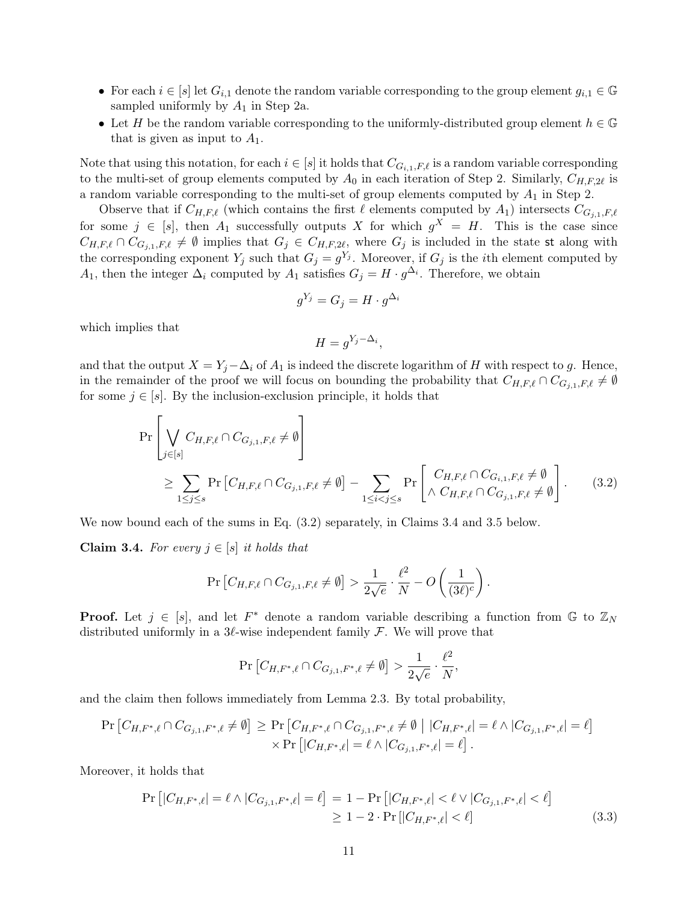- For each  $i \in [s]$  let  $G_{i,1}$  denote the random variable corresponding to the group element  $g_{i,1} \in \mathbb{G}$ sampled uniformly by  $A_1$  in Step [2a.](#page-9-4)
- Let H be the random variable corresponding to the uniformly-distributed group element  $h \in \mathbb{G}$ that is given as input to  $A_1$ .

Note that using this notation, for each  $i \in [s]$  it holds that  $C_{G_{i,1},F,\ell}$  is a random variable corresponding to the multi-set of group elements computed by  $A_0$  in each iteration of Step [2.](#page-9-5) Similarly,  $C_{H,F,2\ell}$  is a random variable corresponding to the multi-set of group elements computed by  $A_1$  in Step [2.](#page-9-6)

Observe that if  $C_{H,F,\ell}$  (which contains the first  $\ell$  elements computed by  $A_1$ ) intersects  $C_{G_{i,1},F,\ell}$ for some  $j \in [s]$ , then  $A_1$  successfully outputs X for which  $g^X = H$ . This is the case since  $C_{H,F,\ell} \cap C_{G_{j,1},F,\ell} \neq \emptyset$  implies that  $G_j \in C_{H,F,2\ell}$ , where  $G_j$  is included in the state st along with the corresponding exponent  $Y_j$  such that  $G_j = g^{Y_j}$ . Moreover, if  $G_j$  is the *i*th element computed by A<sub>1</sub>, then the integer  $\Delta_i$  computed by A<sub>1</sub> satisfies  $G_j = H \cdot g^{\Delta_i}$ . Therefore, we obtain

$$
g^{Y_j} = G_j = H \cdot g^{\Delta_i}
$$

which implies that

$$
H = g^{Y_j - \Delta_i},
$$

and that the output  $X = Y_i - \Delta_i$  of  $A_1$  is indeed the discrete logarithm of H with respect to g. Hence, in the remainder of the proof we will focus on bounding the probability that  $C_{H,F,\ell} \cap C_{G_{j,1},F,\ell} \neq \emptyset$ for some  $j \in [s]$ . By the inclusion-exclusion principle, it holds that

<span id="page-11-0"></span>
$$
\Pr\left[\bigvee_{j\in[s]} C_{H,F,\ell} \cap C_{G_{j,1},F,\ell} \neq \emptyset\right] \n\geq \sum_{1\leq j\leq s} \Pr\left[C_{H,F,\ell} \cap C_{G_{j,1},F,\ell} \neq \emptyset\right] - \sum_{1\leq i\n(3.2)
$$

We now bound each of the sums in Eq. [\(3.2\)](#page-11-0) separately, in Claims [3.4](#page-11-1) and [3.5](#page-13-0) below.

<span id="page-11-1"></span>Claim 3.4. For every  $j \in [s]$  it holds that

$$
\Pr\left[C_{H,F,\ell}\cap C_{G_{j,1},F,\ell}\neq\emptyset\right] > \frac{1}{2\sqrt{e}}\cdot\frac{\ell^2}{N} - O\left(\frac{1}{(3\ell)^c}\right).
$$

**Proof.** Let  $j \in [s]$ , and let  $F^*$  denote a random variable describing a function from  $\mathbb{G}$  to  $\mathbb{Z}_N$ distributed uniformly in a  $3\ell$ -wise independent family F. We will prove that

$$
\Pr\left[C_{H, F^*, \ell} \cap C_{G_{j,1}, F^*, \ell} \neq \emptyset\right] > \frac{1}{2\sqrt{e}} \cdot \frac{\ell^2}{N},
$$

and the claim then follows immediately from Lemma [2.3.](#page-8-1) By total probability,

$$
\Pr\left[C_{H,F^*,\ell} \cap C_{G_{j,1},F^*,\ell} \neq \emptyset\right] \ge \Pr\left[C_{H,F^*,\ell} \cap C_{G_{j,1},F^*,\ell} \neq \emptyset \mid |C_{H,F^*,\ell}| = \ell \land |C_{G_{j,1},F^*,\ell}| = \ell\right] \\
\times \Pr\left[|C_{H,F^*,\ell}| = \ell \land |C_{G_{j,1},F^*,\ell}| = \ell\right].
$$

Moreover, it holds that

<span id="page-11-2"></span>
$$
\Pr\left[|C_{H,F^*,\ell}| = \ell \wedge |C_{G_{j,1},F^*,\ell}| = \ell\right] = 1 - \Pr\left[|C_{H,F^*,\ell}| < \ell \vee |C_{G_{j,1},F^*,\ell}| < \ell\right] \\
\geq 1 - 2 \cdot \Pr\left[|C_{H,F^*,\ell}| < \ell\right] \tag{3.3}
$$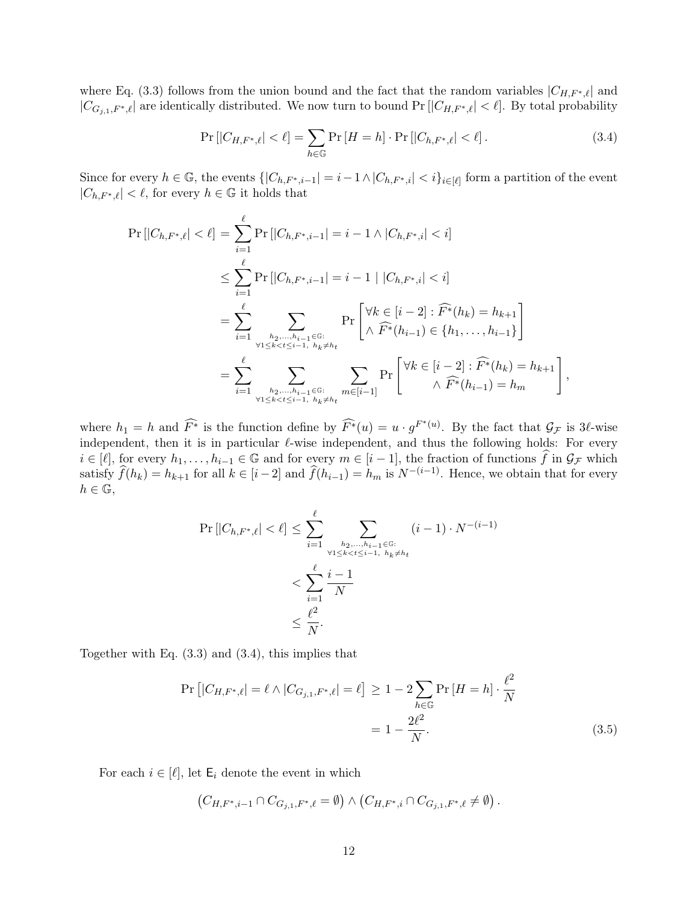where Eq. [\(3.3\)](#page-11-2) follows from the union bound and the fact that the random variables  $|C_{H,F^*,\ell}|$  and  $|C_{G_{j,1},F^*,\ell}|$  are identically distributed. We now turn to bound Pr  $[|C_{H,F^*,\ell}| < \ell]$ . By total probability

<span id="page-12-0"></span>
$$
\Pr\left[|C_{H,F^*,\ell}| < \ell\right] = \sum_{h \in \mathbb{G}} \Pr\left[H = h\right] \cdot \Pr\left[|C_{h,F^*,\ell}| < \ell\right].\tag{3.4}
$$

Since for every  $h \in \mathbb{G}$ , the events  $\{|C_{h,F^*,i-1}| = i-1 \wedge |C_{h,F^*,i}| < i\}_{i \in [\ell]}$  form a partition of the event  $|C_{h,F^*,\ell}| < \ell$ , for every  $h \in \mathbb{G}$  it holds that

$$
\Pr\left[|C_{h,F^*,\ell}| < \ell\right] = \sum_{i=1}^{\ell} \Pr\left[|C_{h,F^*,i-1}| = i - 1 \land |C_{h,F^*,i}| < i\right] \\
\leq \sum_{i=1}^{\ell} \Pr\left[|C_{h,F^*,i-1}| = i - 1 \mid |C_{h,F^*,i}| < i\right] \\
= \sum_{i=1}^{\ell} \sum_{h_2,\ldots,h_{i-1} \in \mathbb{G}: \atop \forall 1 \leq k < t \leq i-1, h_k \neq h_t} \Pr\left[\forall k \in [i-2] : \widehat{F^*}(h_k) = h_{k+1}\right] \\
= \sum_{i=1}^{\ell} \sum_{h_2,\ldots,h_{i-1} \in \mathbb{G}: \atop \forall 1 \leq k < t \leq i-1, h_k \neq h_t} \sum_{m \in [i-1]} \Pr\left[\forall k \in [i-2] : \widehat{F^*}(h_k) = h_{k+1}\right],
$$

where  $h_1 = h$  and  $\widehat{F^*}$  is the function define by  $\widehat{F^*}(u) = u \cdot g^{F^*(u)}$ . By the fact that  $\mathcal{G}_F$  is 3 $\ell$ -wise independent, then it is in particular  $\ell$ -wise independent, and thus the following holds: For every  $i \in [\ell],$  for every  $h_1, \ldots, h_{i-1} \in \mathbb{G}$  and for every  $m \in [i-1]$ , the fraction of functions  $\widehat{f}$  in  $\mathcal{G}_{\mathcal{F}}$  which satisfy  $\hat{f}(h_k) = h_{k+1}$  for all  $k \in [i-2]$  and  $\hat{f}(h_{i-1}) = h_m$  is  $N^{-(i-1)}$ . Hence, we obtain that for every  $h \in \mathbb{G}$ ,

$$
\Pr\left[|C_{h,F^*,\ell}| < \ell\right] \le \sum_{i=1}^{\ell} \sum_{\substack{h_2,\dots,h_{i-1} \in \mathbb{G}:\\ \forall 1 \le k < t \le i-1, \ h_k \ne h_t}} (i-1) \cdot N^{-(i-1)} \\
< \sum_{i=1}^{\ell} \frac{i-1}{N} \\
< \frac{\ell^2}{N}.
$$

Together with Eq. [\(3.3\)](#page-11-2) and [\(3.4\)](#page-12-0), this implies that

<span id="page-12-1"></span>
$$
\Pr\left[|C_{H,F^*,\ell}| = \ell \wedge |C_{G_{j,1},F^*,\ell}| = \ell\right] \ge 1 - 2 \sum_{h \in \mathbb{G}} \Pr\left[H = h\right] \cdot \frac{\ell^2}{N}
$$

$$
= 1 - \frac{2\ell^2}{N}.
$$
(3.5)

For each  $i \in [\ell]$ , let  $\mathsf{E}_i$  denote the event in which

$$
(C_{H,F^*,i-1} \cap C_{G_{j,1},F^*,\ell} = \emptyset) \wedge (C_{H,F^*,i} \cap C_{G_{j,1},F^*,\ell} \neq \emptyset).
$$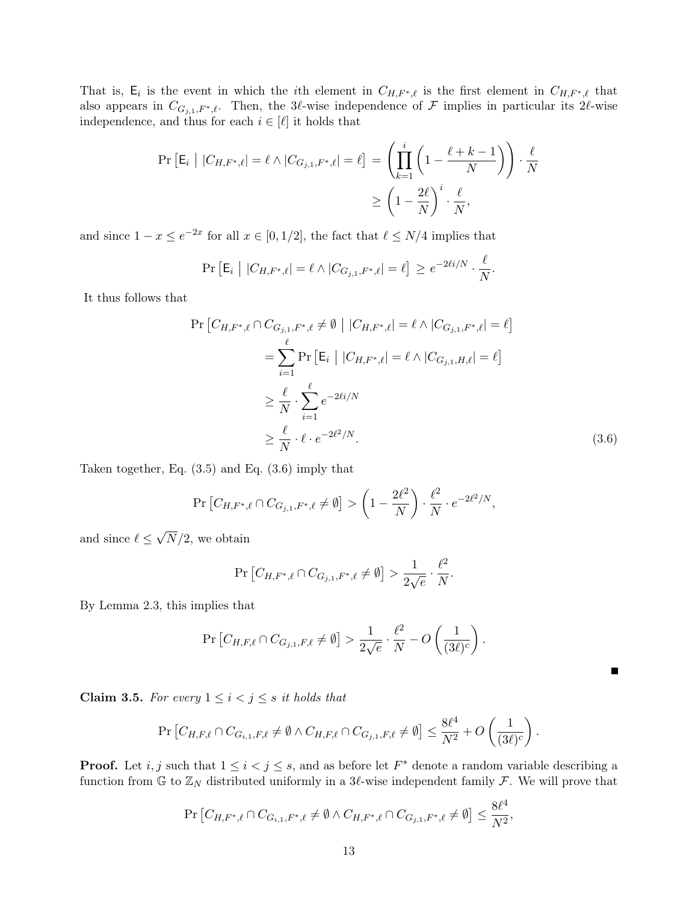That is,  $E_i$  is the event in which the *i*th element in  $C_{H,F^*,\ell}$  is the first element in  $C_{H,F^*,\ell}$  that also appears in  $C_{G_{j,1},F^*,\ell}$ . Then, the 3 $\ell$ -wise independence of F implies in particular its 2 $\ell$ -wise independence, and thus for each  $i \in [\ell]$  it holds that

$$
\Pr\left[\mathsf{E}_{i} \mid |C_{H,F^{*},\ell}| = \ell \land |C_{G_{j,1},F^{*},\ell}| = \ell\right] = \left(\prod_{k=1}^{i} \left(1 - \frac{\ell+k-1}{N}\right)\right) \cdot \frac{\ell}{N}
$$

$$
\geq \left(1 - \frac{2\ell}{N}\right)^{i} \cdot \frac{\ell}{N},
$$

and since  $1 - x \le e^{-2x}$  for all  $x \in [0, 1/2]$ , the fact that  $\ell \le N/4$  implies that

$$
\Pr\left[\mathsf{E}_i \mid |C_{H,F^*,\ell}| = \ell \wedge |C_{G_{j,1},F^*,\ell}| = \ell\right] \geq e^{-2\ell i/N} \cdot \frac{\ell}{N}.
$$

It thus follows that

<span id="page-13-1"></span>
$$
\Pr\left[C_{H,F^*,\ell}\cap C_{G_{j,1},F^*,\ell}\neq\emptyset \mid |C_{H,F^*,\ell}|=\ell \wedge |C_{G_{j,1},F^*,\ell}|=\ell\right]
$$
\n
$$
=\sum_{i=1}^{\ell} \Pr\left[\mathsf{E}_i \mid |C_{H,F^*,\ell}|=\ell \wedge |C_{G_{j,1},H,\ell}|=\ell\right]
$$
\n
$$
\geq \frac{\ell}{N} \cdot \sum_{i=1}^{\ell} e^{-2\ell i/N}
$$
\n
$$
\geq \frac{\ell}{N} \cdot \ell \cdot e^{-2\ell^2/N}.
$$
\n(3.6)

Taken together, Eq. [\(3.5\)](#page-12-1) and Eq. [\(3.6\)](#page-13-1) imply that

$$
\Pr\left[C_{H,F^*,\ell} \cap C_{G_{j,1},F^*,\ell} \neq \emptyset\right] > \left(1 - \frac{2\ell^2}{N}\right) \cdot \frac{\ell^2}{N} \cdot e^{-2\ell^2/N},
$$

and since  $\ell \leq$ √  $N/2$ , we obtain

$$
\Pr\left[C_{H,F^*,\ell} \cap C_{G_{j,1},F^*,\ell} \neq \emptyset\right] > \frac{1}{2\sqrt{e}} \cdot \frac{\ell^2}{N}.
$$

By Lemma [2.3,](#page-8-1) this implies that

$$
\Pr\left[C_{H,F,\ell}\cap C_{G_{j,1},F,\ell}\neq\emptyset\right] > \frac{1}{2\sqrt{e}}\cdot\frac{\ell^2}{N} - O\left(\frac{1}{(3\ell)^c}\right).
$$

Н

<span id="page-13-0"></span>Claim 3.5. For every  $1 \leq i < j \leq s$  it holds that

$$
\Pr\left[C_{H,F,\ell} \cap C_{G_{i,1},F,\ell} \neq \emptyset \wedge C_{H,F,\ell} \cap C_{G_{j,1},F,\ell} \neq \emptyset\right] \leq \frac{8\ell^4}{N^2} + O\left(\frac{1}{(3\ell)^c}\right).
$$

**Proof.** Let i, j such that  $1 \leq i < j \leq s$ , and as before let  $F^*$  denote a random variable describing a function from G to  $\mathbb{Z}_N$  distributed uniformly in a 3 $\ell$ -wise independent family F. We will prove that

$$
\Pr\left[C_{H, F^*, \ell} \cap C_{G_{i,1}, F^*, \ell} \neq \emptyset \land C_{H, F^*, \ell} \cap C_{G_{j,1}, F^*, \ell} \neq \emptyset\right] \leq \frac{8\ell^4}{N^2},
$$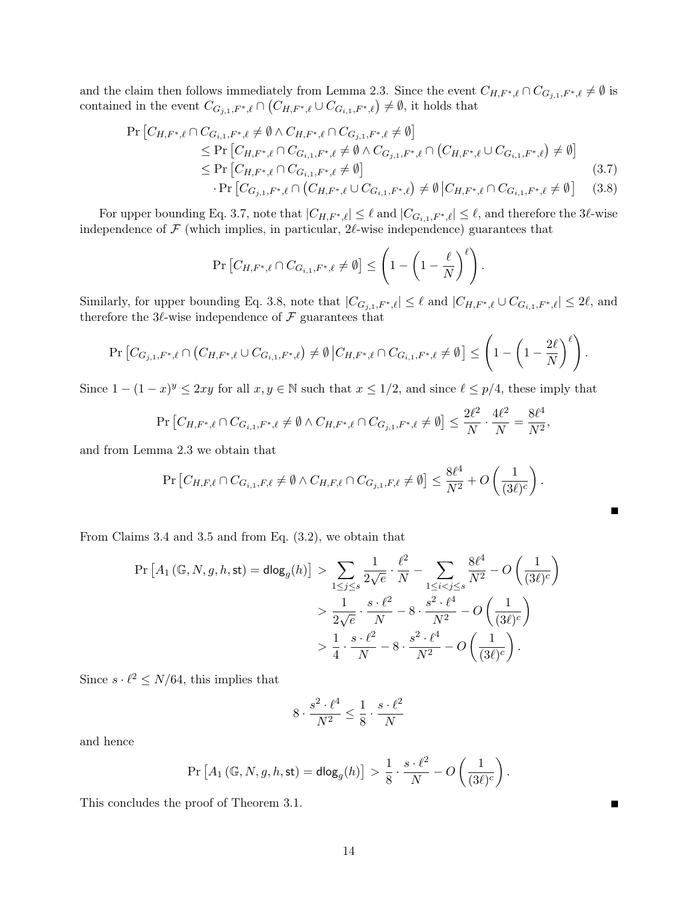and the claim then follows immediately from Lemma [2.3.](#page-8-1) Since the event  $C_{H,F^*,\ell} \cap C_{G_{j,1},F^*,\ell} \neq \emptyset$  is contained in the event  $C_{G_{j,1},F^*,\ell} \cap (C_{H,F^*,\ell} \cup C_{G_{i,1},F^*,\ell}) \neq \emptyset$ , it holds that

<span id="page-14-0"></span>
$$
\Pr\left[C_{H,F^*,\ell} \cap C_{G_{i,1},F^*,\ell} \neq \emptyset \land C_{H,F^*,\ell} \cap C_{G_{j,1},F^*,\ell} \neq \emptyset\right] \leq \Pr\left[C_{H,F^*,\ell} \cap C_{G_{i,1},F^*,\ell} \neq \emptyset \land C_{G_{j,1},F^*,\ell} \cap (C_{H,F^*,\ell} \cup C_{G_{i,1},F^*,\ell}) \neq \emptyset\right] \leq \Pr\left[C_{H,F^*,\ell} \cap C_{G_{i,1},F^*,\ell} \neq \emptyset\right] \cdot \Pr\left[C_{G_{j,1},F^*,\ell} \cap (C_{H,F^*,\ell} \cup C_{G_{i,1},F^*,\ell}) \neq \emptyset | C_{H,F^*,\ell} \cap C_{G_{i,1},F^*,\ell} \neq \emptyset\right] \tag{3.8}
$$

For upper bounding Eq. [3.7,](#page-14-0) note that  $|C_{H,F^*,\ell}| \leq \ell$  and  $|C_{G_{i,1},F^*,\ell}| \leq \ell$ , and therefore the 3 $\ell$ -wise independence of  $\mathcal F$  (which implies, in particular,  $2\ell$ -wise independence) guarantees that

$$
\Pr\left[C_{H,F^*,\ell} \cap C_{G_{i,1},F^*,\ell} \neq \emptyset\right] \le \left(1 - \left(1 - \frac{\ell}{N}\right)^{\ell}\right).
$$

Similarly, for upper bounding Eq. [3.8,](#page-14-0) note that  $|C_{G_{j,1},F^*,\ell}| \leq \ell$  and  $|C_{H,F^*,\ell} \cup C_{G_{i,1},F^*,\ell}| \leq 2\ell$ , and therefore the 3 $\ell$ -wise independence of  $\mathcal F$  guarantees that

$$
\Pr\left[C_{G_{j,1},F^*,\ell}\cap (C_{H,F^*,\ell}\cup C_{G_{i,1},F^*,\ell})\neq \emptyset \, \big|C_{H,F^*,\ell}\cap C_{G_{i,1},F^*,\ell}\neq \emptyset\right] \leq \left(1-\left(1-\frac{2\ell}{N}\right)^{\ell}\right).
$$

Since  $1 - (1 - x)^y \leq 2xy$  for all  $x, y \in \mathbb{N}$  such that  $x \leq 1/2$ , and since  $\ell \leq p/4$ , these imply that

$$
\Pr\left[C_{H,F^*,\ell} \cap C_{G_{i,1},F^*,\ell} \neq \emptyset \land C_{H,F^*,\ell} \cap C_{G_{j,1},F^*,\ell} \neq \emptyset\right] \le \frac{2\ell^2}{N} \cdot \frac{4\ell^2}{N} = \frac{8\ell^4}{N^2},
$$

and from Lemma [2.3](#page-8-1) we obtain that

$$
\Pr\left[C_{H,F,\ell}\cap C_{G_{i,1},F,\ell}\neq\emptyset\wedge C_{H,F,\ell}\cap C_{G_{j,1},F,\ell}\neq\emptyset\right]\leq\frac{8\ell^4}{N^2}+O\left(\frac{1}{(3\ell)^c}\right).
$$

Б

From Claims [3.4](#page-11-1) and [3.5](#page-13-0) and from Eq. [\(3.2\)](#page-11-0), we obtain that

$$
\Pr\left[A_1\left(\mathbb{G}, N, g, h, \text{st}\right) = \text{dlog}_g(h)\right] > \sum_{1 \le j \le s} \frac{1}{2\sqrt{e}} \cdot \frac{\ell^2}{N} - \sum_{1 \le i < j \le s} \frac{8\ell^4}{N^2} - O\left(\frac{1}{(3\ell)^c}\right) \\
&> \frac{1}{2\sqrt{e}} \cdot \frac{s \cdot \ell^2}{N} - 8 \cdot \frac{s^2 \cdot \ell^4}{N^2} - O\left(\frac{1}{(3\ell)^c}\right) \\
&> \frac{1}{4} \cdot \frac{s \cdot \ell^2}{N} - 8 \cdot \frac{s^2 \cdot \ell^4}{N^2} - O\left(\frac{1}{(3\ell)^c}\right).
$$

Since  $s \cdot \ell^2 \leq N/64$ , this implies that

$$
8 \cdot \frac{s^2 \cdot \ell^4}{N^2} \le \frac{1}{8} \cdot \frac{s \cdot \ell^2}{N}
$$

and hence

$$
\Pr\left[A_1\left(\mathbb{G},N,g,h,\text{st}\right)=\text{dlog}_g(h)\right] > \frac{1}{8}\cdot\frac{s\cdot\ell^2}{N} - O\left(\frac{1}{(3\ell)^c}\right).
$$

This concludes the proof of Theorem [3.1.](#page-9-2)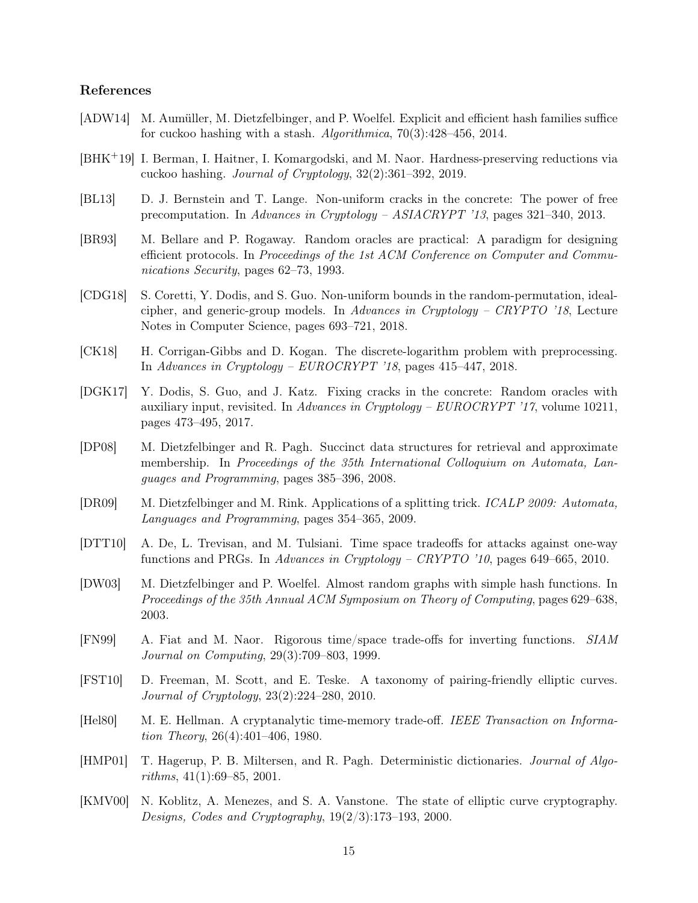# References

- <span id="page-15-15"></span>[ADW14] M. Aumüller, M. Dietzfelbinger, and P. Woelfel. Explicit and efficient hash families suffice for cuckoo hashing with a stash. Algorithmica, 70(3):428–456, 2014.
- <span id="page-15-10"></span>[BHK+19] I. Berman, I. Haitner, I. Komargodski, and M. Naor. Hardness-preserving reductions via cuckoo hashing. Journal of Cryptology, 32(2):361–392, 2019.
- <span id="page-15-6"></span>[BL13] D. J. Bernstein and T. Lange. Non-uniform cracks in the concrete: The power of free precomputation. In Advances in Cryptology – ASIACRYPT '13, pages 321–340, 2013.
- <span id="page-15-7"></span>[BR93] M. Bellare and P. Rogaway. Random oracles are practical: A paradigm for designing efficient protocols. In Proceedings of the 1st ACM Conference on Computer and Communications Security, pages 62–73, 1993.
- <span id="page-15-9"></span>[CDG18] S. Coretti, Y. Dodis, and S. Guo. Non-uniform bounds in the random-permutation, idealcipher, and generic-group models. In Advances in Cryptology – CRYPTO '18, Lecture Notes in Computer Science, pages 693–721, 2018.
- <span id="page-15-2"></span>[CK18] H. Corrigan-Gibbs and D. Kogan. The discrete-logarithm problem with preprocessing. In Advances in Cryptology – EUROCRYPT '18, pages 415–447, 2018.
- <span id="page-15-8"></span>[DGK17] Y. Dodis, S. Guo, and J. Katz. Fixing cracks in the concrete: Random oracles with auxiliary input, revisited. In Advances in Cryptology – EUROCRYPT '17, volume 10211, pages 473–495, 2017.
- <span id="page-15-12"></span>[DP08] M. Dietzfelbinger and R. Pagh. Succinct data structures for retrieval and approximate membership. In Proceedings of the 35th International Colloquium on Automata, Languages and Programming, pages 385–396, 2008.
- <span id="page-15-14"></span>[DR09] M. Dietzfelbinger and M. Rink. Applications of a splitting trick. ICALP 2009: Automata, Languages and Programming, pages 354–365, 2009.
- <span id="page-15-5"></span>[DTT10] A. De, L. Trevisan, and M. Tulsiani. Time space tradeoffs for attacks against one-way functions and PRGs. In Advances in Cryptology – CRYPTO '10, pages 649–665, 2010.
- <span id="page-15-13"></span>[DW03] M. Dietzfelbinger and P. Woelfel. Almost random graphs with simple hash functions. In Proceedings of the 35th Annual ACM Symposium on Theory of Computing, pages 629–638, 2003.
- <span id="page-15-4"></span>[FN99] A. Fiat and M. Naor. Rigorous time/space trade-offs for inverting functions. SIAM Journal on Computing, 29(3):709–803, 1999.
- <span id="page-15-1"></span>[FST10] D. Freeman, M. Scott, and E. Teske. A taxonomy of pairing-friendly elliptic curves. Journal of Cryptology, 23(2):224–280, 2010.
- <span id="page-15-3"></span>[Hel80] M. E. Hellman. A cryptanalytic time-memory trade-off. IEEE Transaction on Information Theory, 26(4):401–406, 1980.
- <span id="page-15-11"></span>[HMP01] T. Hagerup, P. B. Miltersen, and R. Pagh. Deterministic dictionaries. Journal of Algorithms, 41(1):69–85, 2001.
- <span id="page-15-0"></span>[KMV00] N. Koblitz, A. Menezes, and S. A. Vanstone. The state of elliptic curve cryptography. Designs, Codes and Cryptography, 19(2/3):173–193, 2000.